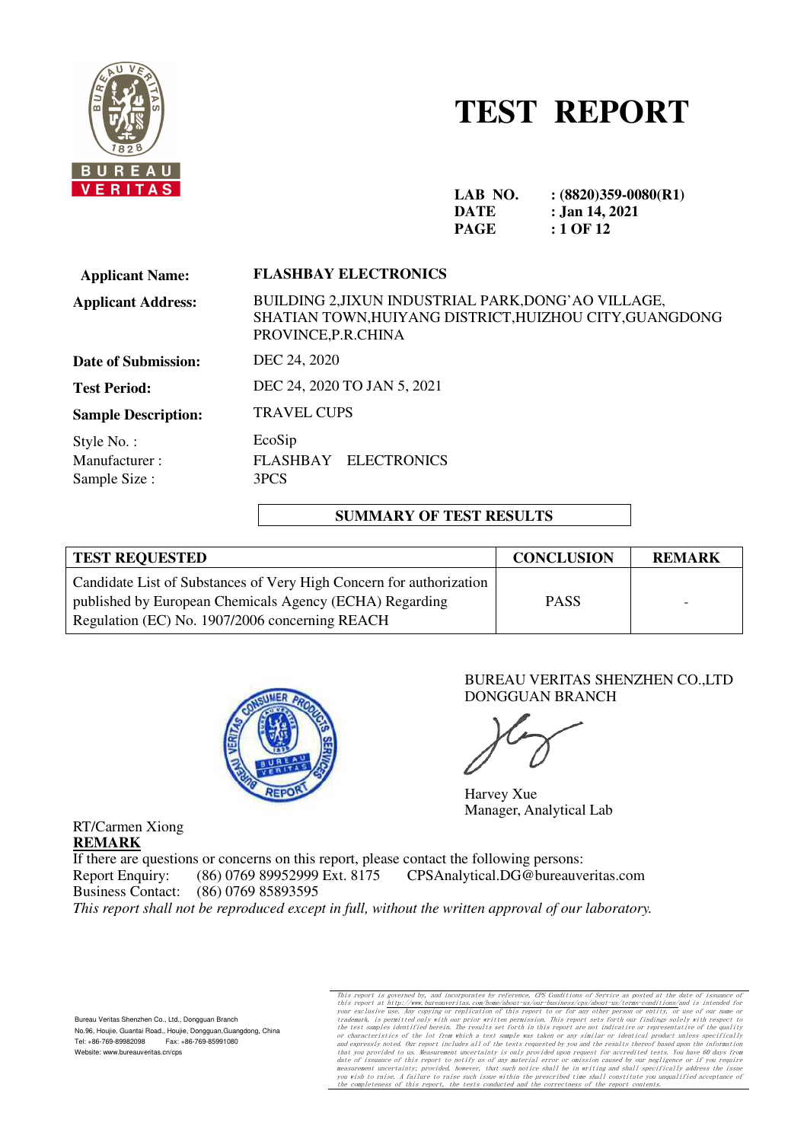

# **TEST REPORT**

| LAB NO.     | $(8820)359-0080(R1)$ |
|-------------|----------------------|
| DATE        | : Jan 14, 2021       |
| <b>PAGE</b> | : 1 OF 12            |

| <b>FLASHBAY ELECTRONICS</b>                                                                                                            |  |  |  |
|----------------------------------------------------------------------------------------------------------------------------------------|--|--|--|
| BUILDING 2, JIXUN INDUSTRIAL PARK, DONG' AO VILLAGE,<br>SHATIAN TOWN, HUIYANG DISTRICT, HUIZHOU CITY, GUANGDONG<br>PROVINCE, P.R.CHINA |  |  |  |
| DEC 24, 2020                                                                                                                           |  |  |  |
| DEC 24, 2020 TO JAN 5, 2021                                                                                                            |  |  |  |
| <b>TRAVEL CUPS</b>                                                                                                                     |  |  |  |
| EcoSip<br>FLASHBAY ELECTRONICS<br>3PCS                                                                                                 |  |  |  |
|                                                                                                                                        |  |  |  |

#### **SUMMARY OF TEST RESULTS**

| <b>TEST REQUESTED</b>                                               | <b>CONCLUSION</b> | <b>REMARK</b>            |
|---------------------------------------------------------------------|-------------------|--------------------------|
| Candidate List of Substances of Very High Concern for authorization |                   |                          |
| published by European Chemicals Agency (ECHA) Regarding             | <b>PASS</b>       | $\overline{\phantom{0}}$ |
| Regulation (EC) No. 1907/2006 concerning REACH                      |                   |                          |



#### BUREAU VERITAS SHENZHEN CO.,LTD DONGGUAN BRANCH

Harvey Xue Manager, Analytical Lab

**REMARK** If there are questions or concerns on this report, please contact the following persons: Report Enquiry: (86) 0769 89952999 Ext. 8175 CPSAnalytical.DG@bureauveritas.com<br>Business Contact: (86) 0769 85893595 Business Contact: (86) 0769 85893595

*This report shall not be reproduced except in full, without the written approval of our laboratory.*

Bureau Veritas Shenzhen Co., Ltd., Dongguan Branch No.96, Houjie, Guantai Road., Houjie, Dongguan,Guangdong, China Tel: +86-769-89982098 Fax: +86-769-85991080 Website: www.bureauveritas.cn/cps

RT/Carmen Xiong

This report is governed by, and incorporates by reference, CFS Conditions of Service as posted at the date of issuance of this report at http://www.bureauveritas.com/home/about-us/our-business/cps/about-us/terms-condition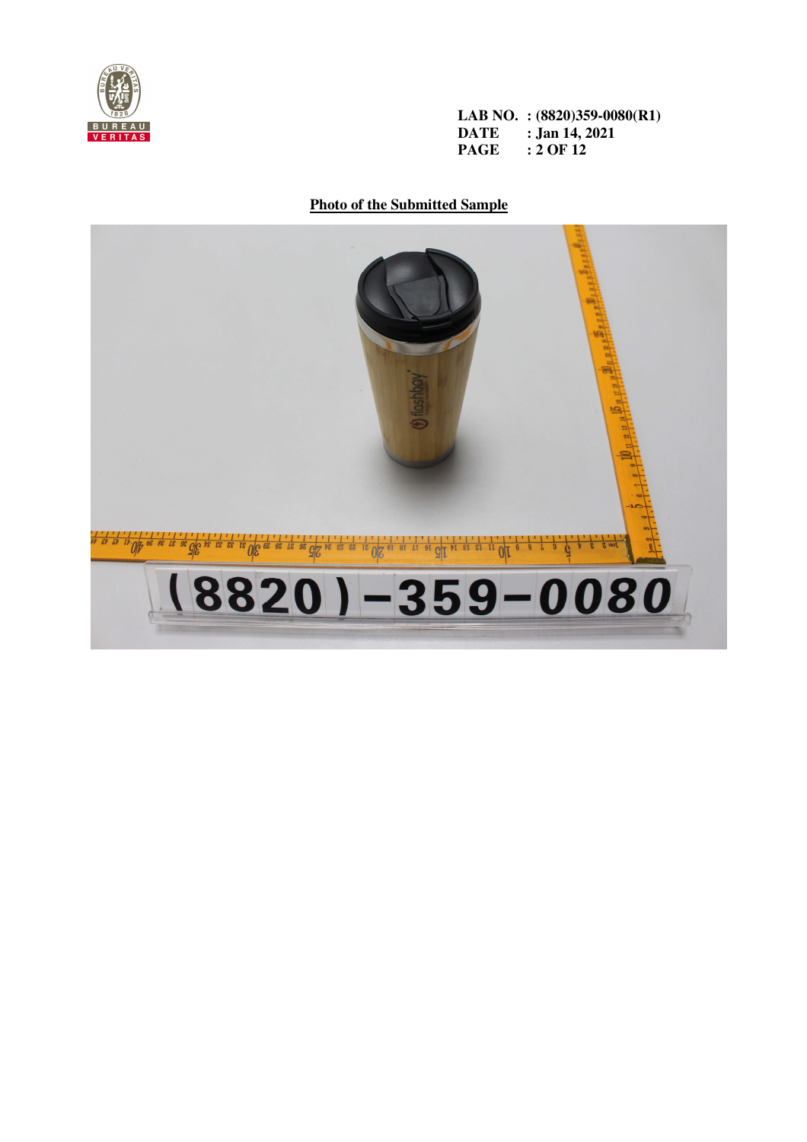

**LAB NO. : (8820)359-0080(R1) DATE : Jan 14, 2021 PAGE : 2 OF 12** 

**Photo of the Submitted Sample**

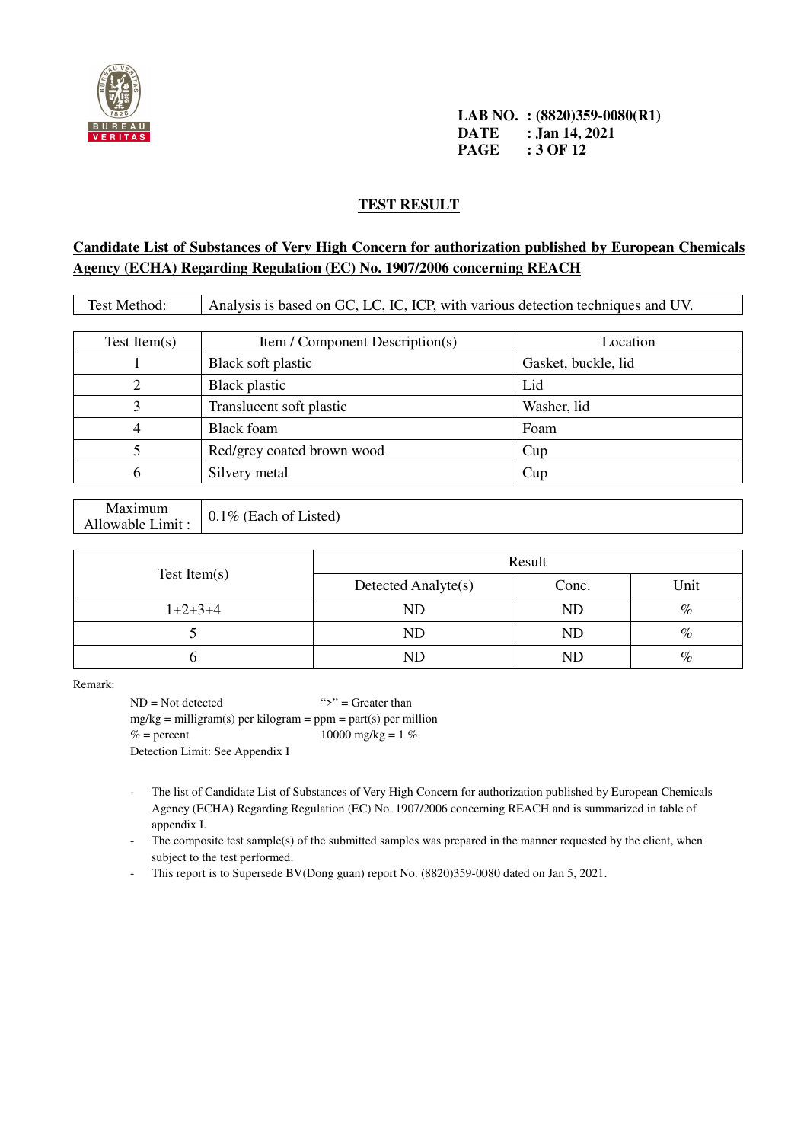

**LAB NO. : (8820)359-0080(R1) DATE : Jan 14, 2021 PAGE : 3 OF 12** 

#### **TEST RESULT**

## **Candidate List of Substances of Very High Concern for authorization published by European Chemicals Agency (ECHA) Regarding Regulation (EC) No. 1907/2006 concerning REACH**

| Test Method:    | Analysis is based on GC, LC, IC, ICP, with various detection techniques and UV. |                     |  |  |  |
|-----------------|---------------------------------------------------------------------------------|---------------------|--|--|--|
|                 |                                                                                 |                     |  |  |  |
| Test Item $(s)$ | Item / Component Description(s)                                                 | Location            |  |  |  |
|                 | Black soft plastic                                                              | Gasket, buckle, lid |  |  |  |
|                 | <b>Black plastic</b>                                                            | Lid                 |  |  |  |
| 3               | Translucent soft plastic                                                        | Washer, lid         |  |  |  |
| 4               | <b>Black</b> foam                                                               | Foam                |  |  |  |
|                 | Red/grey coated brown wood                                                      | Cup                 |  |  |  |
| b               | Silvery metal                                                                   | Cup                 |  |  |  |

| Maximum          | 0.1% (Each of Listed) |
|------------------|-----------------------|
| Allowable Limit: |                       |

|              | Result              |           |      |
|--------------|---------------------|-----------|------|
| Test Item(s) | Detected Analyte(s) | Conc.     | Unit |
| $1+2+3+4$    | <b>ND</b>           | <b>ND</b> | $\%$ |
|              | ND                  | <b>ND</b> | $\%$ |
|              | ND                  | <b>ND</b> | $\%$ |

Remark:

 $ND = Not detected$  ">" = Greater than  $mg/kg =$  milligram(s) per kilogram = ppm = part(s) per million  $% =$  percent 10000 mg/kg = 1 % Detection Limit: See Appendix I

- The list of Candidate List of Substances of Very High Concern for authorization published by European Chemicals Agency (ECHA) Regarding Regulation (EC) No. 1907/2006 concerning REACH and is summarized in table of appendix I.
- The composite test sample(s) of the submitted samples was prepared in the manner requested by the client, when subject to the test performed.
- This report is to Supersede BV(Dong guan) report No. (8820)359-0080 dated on Jan 5, 2021.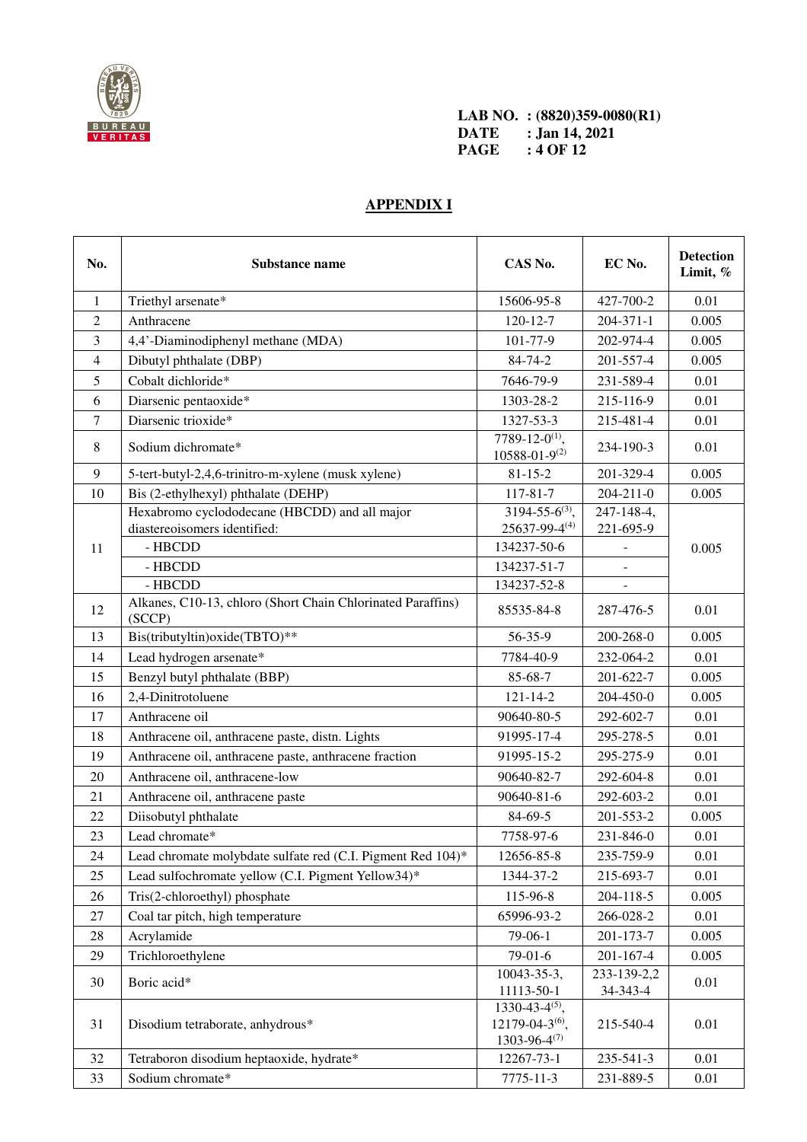

**LAB NO. : (8820)359-0080(R1) DATE : Jan 14, 2021 PAGE : 4 OF 12** 

## **APPENDIX I**

| No.    | Substance name                                                         | CAS No.                                                                                       | EC No.                | <b>Detection</b><br>Limit, % |
|--------|------------------------------------------------------------------------|-----------------------------------------------------------------------------------------------|-----------------------|------------------------------|
| 1      | Triethyl arsenate*                                                     | 15606-95-8                                                                                    | 427-700-2             | 0.01                         |
| 2      | Anthracene                                                             | $120 - 12 - 7$                                                                                | $204 - 371 - 1$       | 0.005                        |
| 3      | 4,4'-Diaminodiphenyl methane (MDA)                                     | 101-77-9                                                                                      | 202-974-4             | 0.005                        |
| 4      | Dibutyl phthalate (DBP)                                                | 84-74-2                                                                                       | 201-557-4             | 0.005                        |
| 5      | Cobalt dichloride*                                                     | 7646-79-9                                                                                     | 231-589-4             | 0.01                         |
| 6      | Diarsenic pentaoxide*                                                  | 1303-28-2                                                                                     | 215-116-9             | 0.01                         |
| $\tau$ | Diarsenic trioxide*                                                    | 1327-53-3                                                                                     | 215-481-4             | 0.01                         |
| 8      | Sodium dichromate*                                                     | 7789-12-0 <sup>(1)</sup> ,<br>$10588 - 01 - 9^{(2)}$                                          | 234-190-3             | 0.01                         |
| 9      | 5-tert-butyl-2,4,6-trinitro-m-xylene (musk xylene)                     | $81 - 15 - 2$                                                                                 | 201-329-4             | 0.005                        |
| 10     | Bis (2-ethylhexyl) phthalate (DEHP)                                    | $117 - 81 - 7$                                                                                | $204 - 211 - 0$       | 0.005                        |
|        | Hexabromo cyclododecane (HBCDD) and all major                          | $3194 - 55 - 6^{(3)}$ ,                                                                       | 247-148-4,            |                              |
|        | diastereoisomers identified:                                           | $25637 - 99 - 4(4)$                                                                           | 221-695-9             |                              |
| 11     | - HBCDD                                                                | 134237-50-6                                                                                   |                       | 0.005                        |
|        | - HBCDD                                                                | 134237-51-7                                                                                   | $\blacksquare$        |                              |
|        | - HBCDD<br>Alkanes, C10-13, chloro (Short Chain Chlorinated Paraffins) | 134237-52-8                                                                                   |                       |                              |
| 12     | (SCCP)                                                                 | 85535-84-8                                                                                    | 287-476-5             | 0.01                         |
| 13     | Bis(tributyltin)oxide(TBTO)**                                          | 56-35-9                                                                                       | 200-268-0             | 0.005                        |
| 14     | Lead hydrogen arsenate*                                                | 7784-40-9                                                                                     | 232-064-2             | 0.01                         |
| 15     | Benzyl butyl phthalate (BBP)                                           | 85-68-7                                                                                       | 201-622-7             | 0.005                        |
| 16     | 2,4-Dinitrotoluene                                                     | $121 - 14 - 2$                                                                                | 204-450-0             | 0.005                        |
| 17     | Anthracene oil                                                         | 90640-80-5                                                                                    | 292-602-7             | 0.01                         |
| 18     | Anthracene oil, anthracene paste, distn. Lights                        | 91995-17-4                                                                                    | 295-278-5             | 0.01                         |
| 19     | Anthracene oil, anthracene paste, anthracene fraction                  | 91995-15-2                                                                                    | 295-275-9             | 0.01                         |
| 20     | Anthracene oil, anthracene-low                                         | 90640-82-7                                                                                    | 292-604-8             | 0.01                         |
| 21     | Anthracene oil, anthracene paste                                       | 90640-81-6                                                                                    | 292-603-2             | 0.01                         |
| 22     | Diisobutyl phthalate                                                   | 84-69-5                                                                                       | 201-553-2             | 0.005                        |
| 23     | Lead chromate*                                                         | 7758-97-6                                                                                     | 231-846-0             | 0.01                         |
| 24     | Lead chromate molybdate sulfate red (C.I. Pigment Red 104)*            | 12656-85-8                                                                                    | 235-759-9             | 0.01                         |
| 25     | Lead sulfochromate yellow (C.I. Pigment Yellow34)*                     | 1344-37-2                                                                                     | 215-693-7             | 0.01                         |
| 26     | Tris(2-chloroethyl) phosphate                                          | 115-96-8                                                                                      | 204-118-5             | 0.005                        |
| 27     | Coal tar pitch, high temperature                                       | 65996-93-2                                                                                    | 266-028-2             | 0.01                         |
| 28     | Acrylamide                                                             | 79-06-1                                                                                       | 201-173-7             | 0.005                        |
| 29     | Trichloroethylene                                                      | 79-01-6                                                                                       | 201-167-4             | 0.005                        |
| 30     | Boric acid*                                                            | 10043-35-3,                                                                                   | 233-139-2,2           | 0.01                         |
| 31     | Disodium tetraborate, anhydrous*                                       | 11113-50-1<br>$1330 - 43 - 4^{(5)}$ ,<br>12179-04-3 <sup>(6)</sup> ,<br>$1303 - 96 - 4^{(7)}$ | 34-343-4<br>215-540-4 | 0.01                         |
| 32     | Tetraboron disodium heptaoxide, hydrate*                               | 12267-73-1                                                                                    | 235-541-3             | 0.01                         |
| 33     | Sodium chromate*                                                       | 7775-11-3                                                                                     | 231-889-5             | 0.01                         |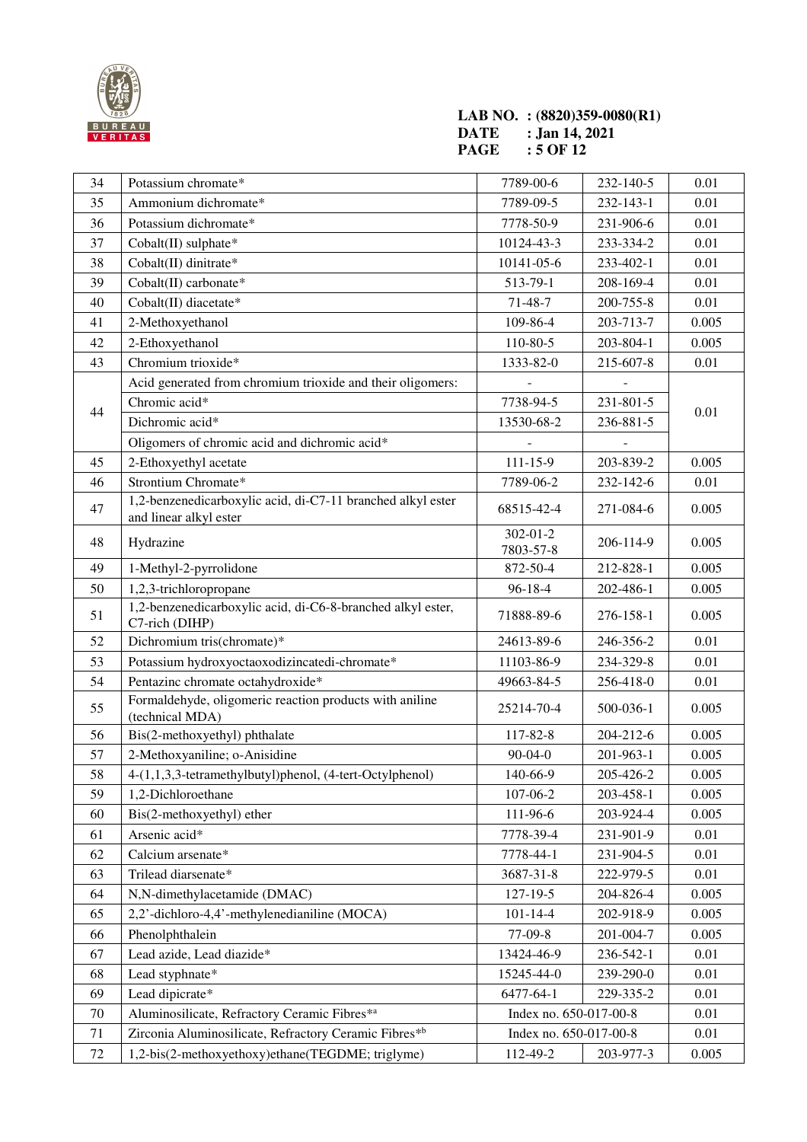

### **LAB NO. : (8820)359-0080(R1) DATE : Jan 14, 2021 PAGE : 5 OF 12**

| 34     | Potassium chromate*                                                                   | 7789-00-6                   | 232-140-5 | 0.01  |
|--------|---------------------------------------------------------------------------------------|-----------------------------|-----------|-------|
| 35     | Ammonium dichromate*                                                                  | 7789-09-5                   | 232-143-1 | 0.01  |
| 36     | Potassium dichromate*                                                                 | 7778-50-9                   | 231-906-6 | 0.01  |
| 37     | Cobalt(II) sulphate*                                                                  | 10124-43-3                  | 233-334-2 | 0.01  |
| 38     | Cobalt(II) dinitrate*                                                                 | 10141-05-6                  | 233-402-1 | 0.01  |
| 39     | $Cobalt(II)$ carbonate*                                                               | 513-79-1                    | 208-169-4 | 0.01  |
| 40     | Cobalt(II) diacetate*                                                                 | 71-48-7                     | 200-755-8 | 0.01  |
| 41     | 2-Methoxyethanol                                                                      | 109-86-4                    | 203-713-7 | 0.005 |
| 42     | 2-Ethoxyethanol                                                                       | 110-80-5                    | 203-804-1 | 0.005 |
| 43     | Chromium trioxide*                                                                    | 1333-82-0                   | 215-607-8 | 0.01  |
|        | Acid generated from chromium trioxide and their oligomers:                            |                             |           |       |
|        | Chromic acid*                                                                         | 7738-94-5                   | 231-801-5 |       |
| 44     | Dichromic acid*                                                                       | 13530-68-2                  | 236-881-5 | 0.01  |
|        | Oligomers of chromic acid and dichromic acid*                                         |                             |           |       |
| 45     | 2-Ethoxyethyl acetate                                                                 | $111 - 15 - 9$              | 203-839-2 | 0.005 |
| 46     | Strontium Chromate*                                                                   | 7789-06-2                   | 232-142-6 | 0.01  |
| 47     | 1,2-benzenedicarboxylic acid, di-C7-11 branched alkyl ester<br>and linear alkyl ester | 68515-42-4                  | 271-084-6 | 0.005 |
| 48     | Hydrazine                                                                             | $302 - 01 - 2$<br>7803-57-8 | 206-114-9 | 0.005 |
| 49     | 1-Methyl-2-pyrrolidone                                                                | 872-50-4                    | 212-828-1 | 0.005 |
| 50     | 1,2,3-trichloropropane                                                                | $96 - 18 - 4$               | 202-486-1 | 0.005 |
| 51     | 1,2-benzenedicarboxylic acid, di-C6-8-branched alkyl ester,<br>C7-rich (DIHP)         | 71888-89-6                  | 276-158-1 | 0.005 |
| 52     | Dichromium tris(chromate)*                                                            | 24613-89-6                  | 246-356-2 | 0.01  |
| 53     | Potassium hydroxyoctaoxodizincatedi-chromate*                                         | 11103-86-9                  | 234-329-8 | 0.01  |
| 54     | Pentazinc chromate octahydroxide*                                                     | 49663-84-5                  | 256-418-0 | 0.01  |
| 55     | Formaldehyde, oligomeric reaction products with aniline<br>(technical MDA)            | 25214-70-4                  | 500-036-1 | 0.005 |
| 56     | Bis(2-methoxyethyl) phthalate                                                         | 117-82-8                    | 204-212-6 | 0.005 |
| 57     | 2-Methoxyaniline; o-Anisidine                                                         | $90 - 04 - 0$               | 201-963-1 | 0.005 |
| 58     | 4-(1,1,3,3-tetramethylbutyl)phenol, (4-tert-Octylphenol)                              | 140-66-9                    | 205-426-2 | 0.005 |
| 59     | 1,2-Dichloroethane                                                                    | 107-06-2                    | 203-458-1 | 0.005 |
| 60     | Bis(2-methoxyethyl) ether                                                             | 111-96-6                    | 203-924-4 | 0.005 |
| 61     | Arsenic acid*                                                                         | 7778-39-4                   | 231-901-9 | 0.01  |
| 62     | Calcium arsenate*                                                                     | 7778-44-1                   | 231-904-5 | 0.01  |
| 63     | Trilead diarsenate*                                                                   | 3687-31-8                   | 222-979-5 | 0.01  |
| 64     | N,N-dimethylacetamide (DMAC)                                                          | 127-19-5                    | 204-826-4 | 0.005 |
| 65     | 2,2'-dichloro-4,4'-methylenedianiline (MOCA)                                          | $101 - 14 - 4$              | 202-918-9 | 0.005 |
| 66     | Phenolphthalein                                                                       | 77-09-8                     | 201-004-7 | 0.005 |
| 67     | Lead azide, Lead diazide*                                                             | 13424-46-9                  | 236-542-1 | 0.01  |
| 68     | Lead styphnate*                                                                       | 15245-44-0                  | 239-290-0 | 0.01  |
| 69     | Lead dipicrate*                                                                       | 6477-64-1                   | 229-335-2 | 0.01  |
| 70     | Aluminosilicate, Refractory Ceramic Fibres*a                                          | Index no. 650-017-00-8      |           | 0.01  |
| 71     | Zirconia Aluminosilicate, Refractory Ceramic Fibres*b                                 | Index no. 650-017-00-8      |           | 0.01  |
| $72\,$ | 1,2-bis(2-methoxyethoxy)ethane(TEGDME; triglyme)                                      | 112-49-2                    | 203-977-3 | 0.005 |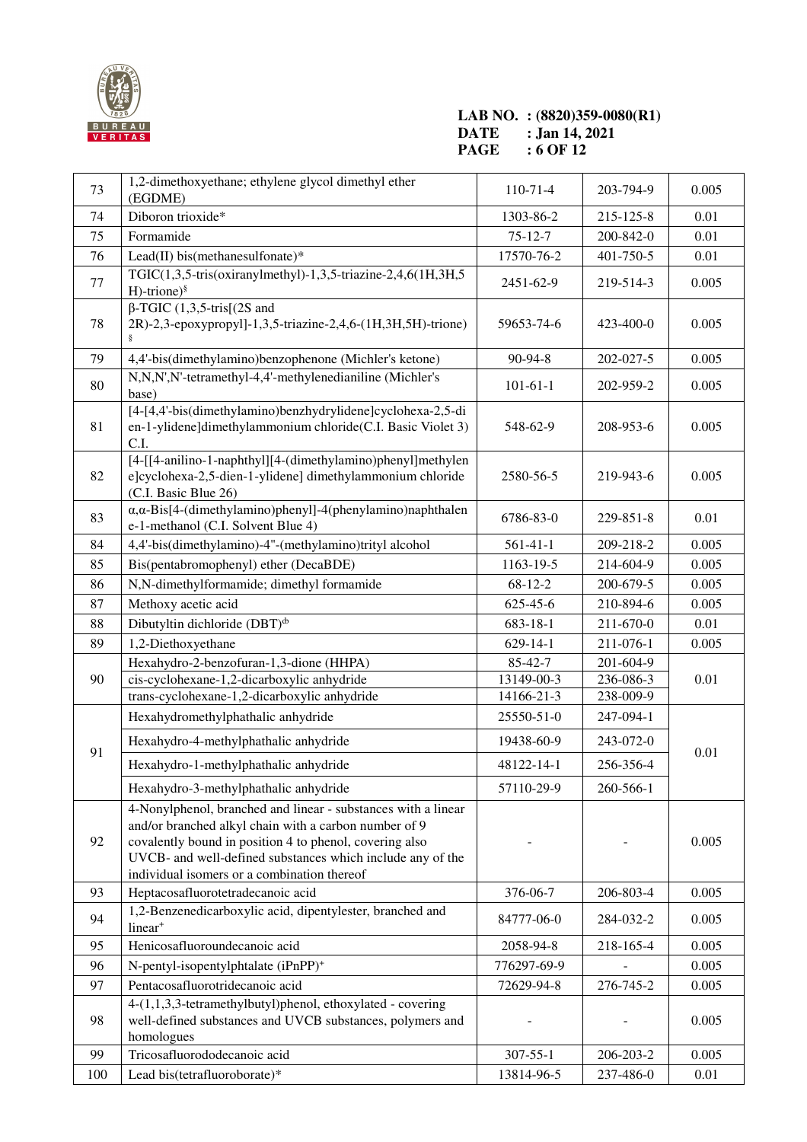

#### **LAB NO. : (8820)359-0080(R1) DATE : Jan 14, 2021 PAGE : 6 OF 12**

| 73  | 1,2-dimethoxyethane; ethylene glycol dimethyl ether<br>(EGDME)                                                                                                                                                                                                                                 | $110-71-4$     | 203-794-9 | 0.005 |
|-----|------------------------------------------------------------------------------------------------------------------------------------------------------------------------------------------------------------------------------------------------------------------------------------------------|----------------|-----------|-------|
| 74  | Diboron trioxide*                                                                                                                                                                                                                                                                              | 1303-86-2      | 215-125-8 | 0.01  |
| 75  | Formamide                                                                                                                                                                                                                                                                                      | $75 - 12 - 7$  | 200-842-0 | 0.01  |
| 76  | Lead(II) bis(methanesulfonate)*                                                                                                                                                                                                                                                                | 17570-76-2     | 401-750-5 | 0.01  |
| 77  | TGIC $(1,3,5$ -tris $(oxiranylmethyl)$ -1,3,5-triazine-2,4,6 $(1H,3H,5)$<br>$H$ -trione) <sup>§</sup>                                                                                                                                                                                          | 2451-62-9      | 219-514-3 | 0.005 |
| 78  | $\beta$ -TGIC (1,3,5-tris[(2S and<br>2R)-2,3-epoxypropyl]-1,3,5-triazine-2,4,6-(1H,3H,5H)-trione)                                                                                                                                                                                              | 59653-74-6     | 423-400-0 | 0.005 |
| 79  | 4,4'-bis(dimethylamino)benzophenone (Michler's ketone)                                                                                                                                                                                                                                         | 90-94-8        | 202-027-5 | 0.005 |
| 80  | N,N,N',N'-tetramethyl-4,4'-methylenedianiline (Michler's<br>base)                                                                                                                                                                                                                              | $101 - 61 - 1$ | 202-959-2 | 0.005 |
| 81  | [4-[4,4'-bis(dimethylamino)benzhydrylidene]cyclohexa-2,5-di<br>en-1-ylidene]dimethylammonium chloride(C.I. Basic Violet 3)<br>C.I.                                                                                                                                                             | 548-62-9       | 208-953-6 | 0.005 |
| 82  | [4-[[4-anilino-1-naphthyl][4-(dimethylamino)phenyl]methylen<br>e]cyclohexa-2,5-dien-1-ylidene] dimethylammonium chloride<br>(C.I. Basic Blue 26)                                                                                                                                               | 2580-56-5      | 219-943-6 | 0.005 |
| 83  | $\alpha, \alpha$ -Bis[4-(dimethylamino)phenyl]-4(phenylamino)naphthalen<br>e-1-methanol (C.I. Solvent Blue 4)                                                                                                                                                                                  | 6786-83-0      | 229-851-8 | 0.01  |
| 84  | 4,4'-bis(dimethylamino)-4"-(methylamino)trityl alcohol                                                                                                                                                                                                                                         | $561 - 41 - 1$ | 209-218-2 | 0.005 |
| 85  | Bis(pentabromophenyl) ether (DecaBDE)                                                                                                                                                                                                                                                          | 1163-19-5      | 214-604-9 | 0.005 |
| 86  | N,N-dimethylformamide; dimethyl formamide                                                                                                                                                                                                                                                      | $68-12-2$      | 200-679-5 | 0.005 |
| 87  | Methoxy acetic acid                                                                                                                                                                                                                                                                            | 625-45-6       | 210-894-6 | 0.005 |
| 88  | Dibutyltin dichloride $(DBT)^{\phi}$                                                                                                                                                                                                                                                           | 683-18-1       | 211-670-0 | 0.01  |
| 89  | 1,2-Diethoxyethane                                                                                                                                                                                                                                                                             | $629 - 14 - 1$ | 211-076-1 | 0.005 |
|     | Hexahydro-2-benzofuran-1,3-dione (HHPA)                                                                                                                                                                                                                                                        | 85-42-7        | 201-604-9 |       |
| 90  | cis-cyclohexane-1,2-dicarboxylic anhydride                                                                                                                                                                                                                                                     | 13149-00-3     | 236-086-3 | 0.01  |
|     | trans-cyclohexane-1,2-dicarboxylic anhydride                                                                                                                                                                                                                                                   | 14166-21-3     | 238-009-9 |       |
|     | Hexahydromethylphathalic anhydride                                                                                                                                                                                                                                                             | 25550-51-0     | 247-094-1 |       |
| 91  | Hexahydro-4-methylphathalic anhydride                                                                                                                                                                                                                                                          | 19438-60-9     | 243-072-0 | 0.01  |
|     | Hexahydro-1-methylphathalic anhydride                                                                                                                                                                                                                                                          | 48122-14-1     | 256-356-4 |       |
|     | Hexahydro-3-methylphathalic anhydride                                                                                                                                                                                                                                                          | 57110-29-9     | 260-566-1 |       |
| 92  | 4-Nonylphenol, branched and linear - substances with a linear<br>and/or branched alkyl chain with a carbon number of 9<br>covalently bound in position 4 to phenol, covering also<br>UVCB- and well-defined substances which include any of the<br>individual isomers or a combination thereof |                |           | 0.005 |
| 93  | Heptacosafluorotetradecanoic acid                                                                                                                                                                                                                                                              | 376-06-7       | 206-803-4 | 0.005 |
| 94  | 1,2-Benzenedicarboxylic acid, dipentylester, branched and<br>linear <sup>+</sup>                                                                                                                                                                                                               | 84777-06-0     | 284-032-2 | 0.005 |
| 95  | Henicosafluoroundecanoic acid                                                                                                                                                                                                                                                                  | 2058-94-8      | 218-165-4 | 0.005 |
| 96  | N-pentyl-isopentylphtalate (iPnPP) <sup>+</sup>                                                                                                                                                                                                                                                | 776297-69-9    |           | 0.005 |
| 97  | Pentacosafluorotridecanoic acid                                                                                                                                                                                                                                                                | 72629-94-8     | 276-745-2 | 0.005 |
| 98  | 4-(1,1,3,3-tetramethylbutyl)phenol, ethoxylated - covering<br>well-defined substances and UVCB substances, polymers and<br>homologues                                                                                                                                                          |                |           | 0.005 |
| 99  | Tricosafluorododecanoic acid                                                                                                                                                                                                                                                                   | $307 - 55 - 1$ | 206-203-2 | 0.005 |
| 100 | Lead bis(tetrafluoroborate)*                                                                                                                                                                                                                                                                   | 13814-96-5     | 237-486-0 | 0.01  |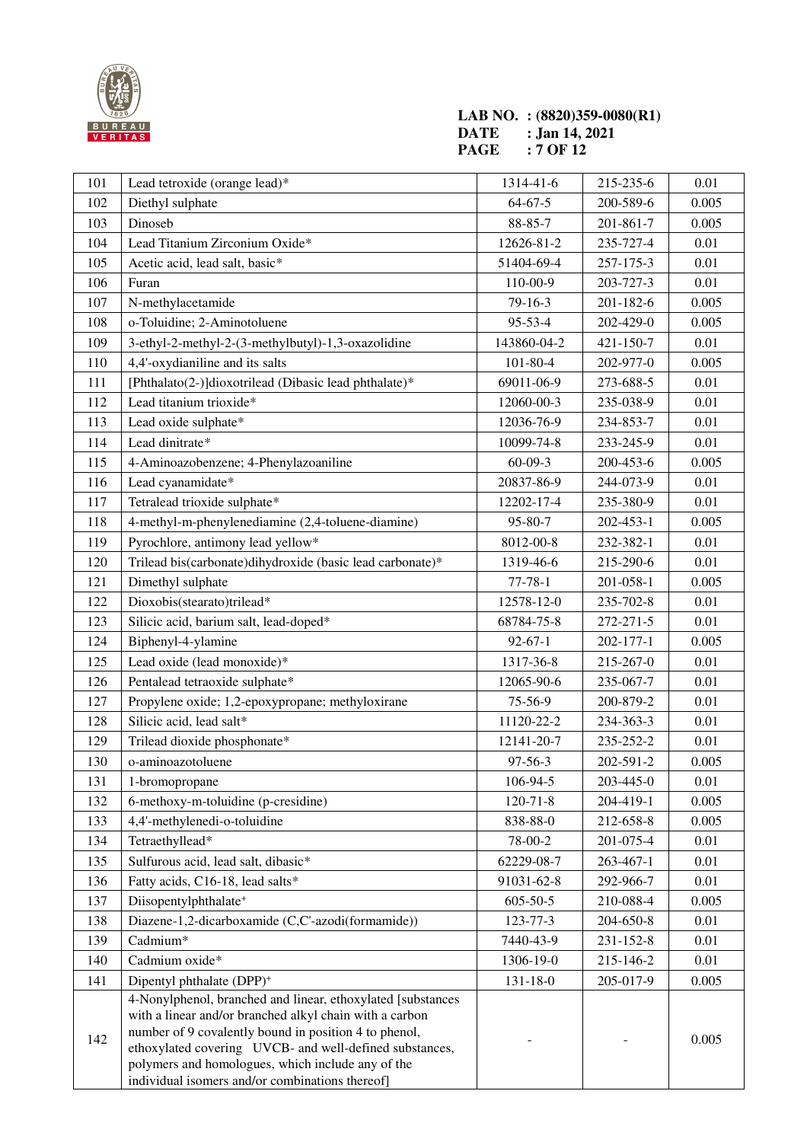

#### **LAB NO. : (8820)359-0080(R1) DATE : Jan 14, 2021 PAGE : 7 OF 12**

| 101 | Lead tetroxide (orange lead)*                                                                                                                                                                                                                                                                   | 1314-41-6      | 215-235-6 | 0.01     |
|-----|-------------------------------------------------------------------------------------------------------------------------------------------------------------------------------------------------------------------------------------------------------------------------------------------------|----------------|-----------|----------|
| 102 | Diethyl sulphate                                                                                                                                                                                                                                                                                | $64 - 67 - 5$  | 200-589-6 | 0.005    |
| 103 | Dinoseb                                                                                                                                                                                                                                                                                         | 88-85-7        | 201-861-7 | 0.005    |
| 104 | Lead Titanium Zirconium Oxide*                                                                                                                                                                                                                                                                  | 12626-81-2     | 235-727-4 | 0.01     |
| 105 | Acetic acid, lead salt, basic*                                                                                                                                                                                                                                                                  | 51404-69-4     | 257-175-3 | 0.01     |
| 106 | Furan                                                                                                                                                                                                                                                                                           | 110-00-9       | 203-727-3 | 0.01     |
| 107 | N-methylacetamide                                                                                                                                                                                                                                                                               | $79-16-3$      | 201-182-6 | 0.005    |
| 108 | o-Toluidine; 2-Aminotoluene                                                                                                                                                                                                                                                                     | 95-53-4        | 202-429-0 | 0.005    |
| 109 | 3-ethyl-2-methyl-2-(3-methylbutyl)-1,3-oxazolidine                                                                                                                                                                                                                                              | 143860-04-2    | 421-150-7 | 0.01     |
| 110 | 4,4'-oxydianiline and its salts                                                                                                                                                                                                                                                                 | $101 - 80 - 4$ | 202-977-0 | 0.005    |
| 111 | [Phthalato(2-)]dioxotrilead (Dibasic lead phthalate)*                                                                                                                                                                                                                                           | 69011-06-9     | 273-688-5 | 0.01     |
| 112 | Lead titanium trioxide*                                                                                                                                                                                                                                                                         | 12060-00-3     | 235-038-9 | 0.01     |
| 113 | Lead oxide sulphate*                                                                                                                                                                                                                                                                            | 12036-76-9     | 234-853-7 | 0.01     |
| 114 | Lead dinitrate*                                                                                                                                                                                                                                                                                 | 10099-74-8     | 233-245-9 | 0.01     |
| 115 | 4-Aminoazobenzene; 4-Phenylazoaniline                                                                                                                                                                                                                                                           | $60 - 09 - 3$  | 200-453-6 | 0.005    |
| 116 | Lead cyanamidate*                                                                                                                                                                                                                                                                               | 20837-86-9     | 244-073-9 | 0.01     |
| 117 | Tetralead trioxide sulphate*                                                                                                                                                                                                                                                                    | 12202-17-4     | 235-380-9 | 0.01     |
| 118 | 4-methyl-m-phenylenediamine (2,4-toluene-diamine)                                                                                                                                                                                                                                               | 95-80-7        | 202-453-1 | 0.005    |
| 119 | Pyrochlore, antimony lead yellow*                                                                                                                                                                                                                                                               | 8012-00-8      | 232-382-1 | 0.01     |
| 120 | Trilead bis(carbonate)dihydroxide (basic lead carbonate)*                                                                                                                                                                                                                                       | 1319-46-6      | 215-290-6 | 0.01     |
| 121 | Dimethyl sulphate                                                                                                                                                                                                                                                                               | $77 - 78 - 1$  | 201-058-1 | 0.005    |
| 122 | Dioxobis(stearato)trilead*                                                                                                                                                                                                                                                                      | 12578-12-0     | 235-702-8 | 0.01     |
| 123 | Silicic acid, barium salt, lead-doped*                                                                                                                                                                                                                                                          | 68784-75-8     | 272-271-5 | 0.01     |
| 124 | Biphenyl-4-ylamine                                                                                                                                                                                                                                                                              | $92 - 67 - 1$  | 202-177-1 | 0.005    |
| 125 | Lead oxide (lead monoxide)*                                                                                                                                                                                                                                                                     | 1317-36-8      | 215-267-0 | 0.01     |
| 126 | Pentalead tetraoxide sulphate*                                                                                                                                                                                                                                                                  | 12065-90-6     | 235-067-7 | 0.01     |
| 127 | Propylene oxide; 1,2-epoxypropane; methyloxirane                                                                                                                                                                                                                                                | 75-56-9        | 200-879-2 | 0.01     |
| 128 | Silicic acid, lead salt*                                                                                                                                                                                                                                                                        | 11120-22-2     | 234-363-3 | 0.01     |
| 129 | Trilead dioxide phosphonate*                                                                                                                                                                                                                                                                    | 12141-20-7     | 235-252-2 | 0.01     |
| 130 | o-aminoazotoluene                                                                                                                                                                                                                                                                               | 97-56-3        | 202-591-2 | 0.005    |
| 131 | 1-bromopropane                                                                                                                                                                                                                                                                                  | 106-94-5       | 203-445-0 | $0.01\,$ |
| 132 | 6-methoxy-m-toluidine (p-cresidine)                                                                                                                                                                                                                                                             | $120 - 71 - 8$ | 204-419-1 | 0.005    |
| 133 | 4,4'-methylenedi-o-toluidine                                                                                                                                                                                                                                                                    | 838-88-0       | 212-658-8 | 0.005    |
| 134 | Tetraethyllead*                                                                                                                                                                                                                                                                                 | 78-00-2        | 201-075-4 | 0.01     |
| 135 | Sulfurous acid, lead salt, dibasic*                                                                                                                                                                                                                                                             | 62229-08-7     | 263-467-1 | 0.01     |
| 136 | Fatty acids, C16-18, lead salts*                                                                                                                                                                                                                                                                | 91031-62-8     | 292-966-7 | 0.01     |
| 137 | Diisopentylphthalate <sup>+</sup>                                                                                                                                                                                                                                                               | $605 - 50 - 5$ | 210-088-4 | 0.005    |
| 138 | Diazene-1,2-dicarboxamide (C,C'-azodi(formamide))                                                                                                                                                                                                                                               | 123-77-3       | 204-650-8 | 0.01     |
| 139 | Cadmium*                                                                                                                                                                                                                                                                                        | 7440-43-9      | 231-152-8 | 0.01     |
| 140 | Cadmium oxide*                                                                                                                                                                                                                                                                                  | 1306-19-0      | 215-146-2 | 0.01     |
| 141 | Dipentyl phthalate (DPP) <sup>+</sup>                                                                                                                                                                                                                                                           | $131 - 18 - 0$ | 205-017-9 | 0.005    |
| 142 | 4-Nonylphenol, branched and linear, ethoxylated [substances<br>with a linear and/or branched alkyl chain with a carbon<br>number of 9 covalently bound in position 4 to phenol,<br>ethoxylated covering UVCB- and well-defined substances,<br>polymers and homologues, which include any of the |                |           | 0.005    |
|     | individual isomers and/or combinations thereof]                                                                                                                                                                                                                                                 |                |           |          |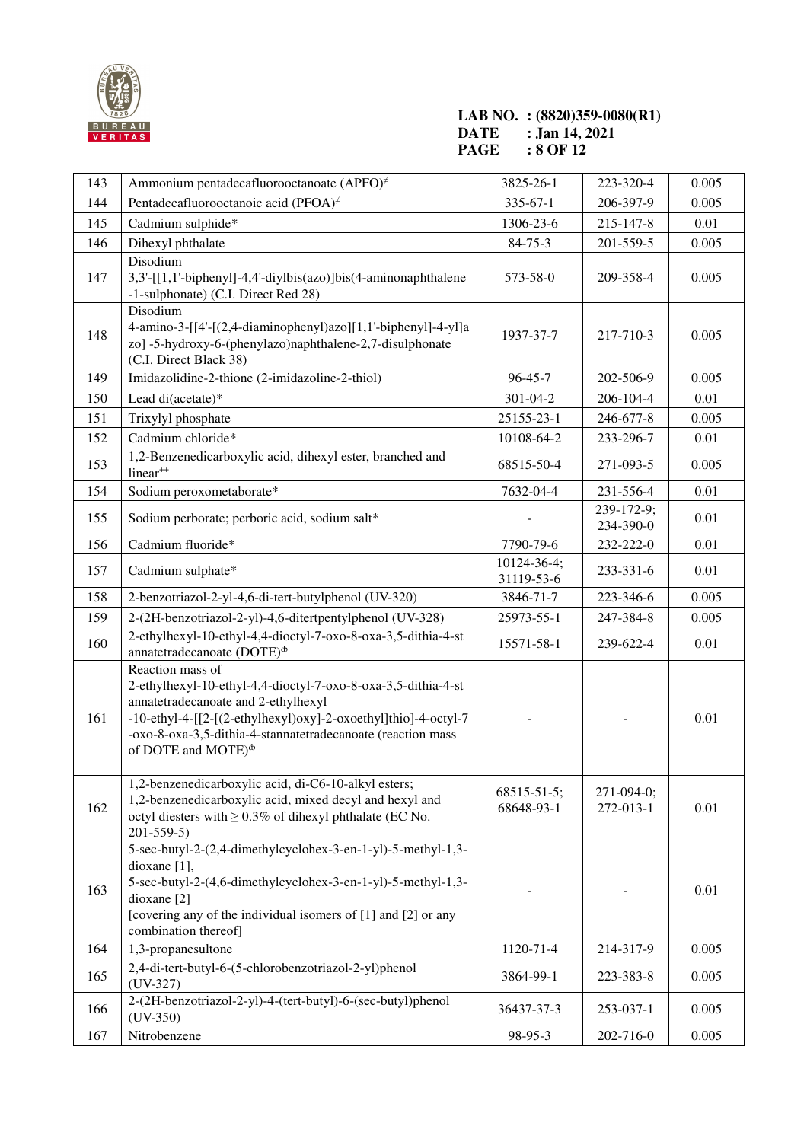

#### **LAB NO. : (8820)359-0080(R1) DATE : Jan 14, 2021 PAGE : 8 OF 12**

| 143 | Ammonium pentadecafluorooctanoate (APFO) <sup>#</sup>                                                                                                                                                                                                                                                       | 3825-26-1                        | 223-320-4               | 0.005 |
|-----|-------------------------------------------------------------------------------------------------------------------------------------------------------------------------------------------------------------------------------------------------------------------------------------------------------------|----------------------------------|-------------------------|-------|
| 144 | Pentadecafluorooctanoic acid (PFOA) <sup>#</sup>                                                                                                                                                                                                                                                            | $335 - 67 - 1$                   | 206-397-9               | 0.005 |
| 145 | Cadmium sulphide*                                                                                                                                                                                                                                                                                           | 1306-23-6                        | 215-147-8               | 0.01  |
| 146 | Dihexyl phthalate                                                                                                                                                                                                                                                                                           | 84-75-3                          | 201-559-5               | 0.005 |
| 147 | Disodium<br>3,3'-[[1,1'-biphenyl]-4,4'-diylbis(azo)]bis(4-aminonaphthalene<br>-1-sulphonate) (C.I. Direct Red 28)                                                                                                                                                                                           | 573-58-0                         | 209-358-4               | 0.005 |
| 148 | Disodium<br>4-amino-3-[[4'-[(2,4-diaminophenyl)azo][1,1'-biphenyl]-4-yl]a<br>zo] -5-hydroxy-6-(phenylazo)naphthalene-2,7-disulphonate<br>(C.I. Direct Black 38)                                                                                                                                             | 1937-37-7                        | 217-710-3               | 0.005 |
| 149 | Imidazolidine-2-thione (2-imidazoline-2-thiol)                                                                                                                                                                                                                                                              | 96-45-7                          | 202-506-9               | 0.005 |
| 150 | Lead di(acetate)*                                                                                                                                                                                                                                                                                           | $301 - 04 - 2$                   | 206-104-4               | 0.01  |
| 151 | Trixylyl phosphate                                                                                                                                                                                                                                                                                          | 25155-23-1                       | 246-677-8               | 0.005 |
| 152 | Cadmium chloride*                                                                                                                                                                                                                                                                                           | 10108-64-2                       | 233-296-7               | 0.01  |
| 153 | 1,2-Benzenedicarboxylic acid, dihexyl ester, branched and<br>linear <sup>++</sup>                                                                                                                                                                                                                           | 68515-50-4                       | 271-093-5               | 0.005 |
| 154 | Sodium peroxometaborate*                                                                                                                                                                                                                                                                                    | 7632-04-4                        | 231-556-4               | 0.01  |
| 155 | Sodium perborate; perboric acid, sodium salt*                                                                                                                                                                                                                                                               |                                  | 239-172-9;<br>234-390-0 | 0.01  |
| 156 | Cadmium fluoride*                                                                                                                                                                                                                                                                                           | 7790-79-6                        | 232-222-0               | 0.01  |
| 157 | Cadmium sulphate*                                                                                                                                                                                                                                                                                           | 10124-36-4;<br>31119-53-6        | 233-331-6               | 0.01  |
| 158 | 2-benzotriazol-2-yl-4,6-di-tert-butylphenol (UV-320)                                                                                                                                                                                                                                                        | 3846-71-7                        | 223-346-6               | 0.005 |
| 159 | 2-(2H-benzotriazol-2-yl)-4,6-ditertpentylphenol (UV-328)                                                                                                                                                                                                                                                    | 25973-55-1                       | 247-384-8               | 0.005 |
| 160 | 2-ethylhexyl-10-ethyl-4,4-dioctyl-7-oxo-8-oxa-3,5-dithia-4-st<br>annatetradecanoate (DOTE) <sup><i>b</i></sup>                                                                                                                                                                                              | 15571-58-1                       | 239-622-4               | 0.01  |
| 161 | Reaction mass of<br>2-ethylhexyl-10-ethyl-4,4-dioctyl-7-oxo-8-oxa-3,5-dithia-4-st<br>annatetradecanoate and 2-ethylhexyl<br>-10-ethyl-4-[[2-[(2-ethylhexyl)oxy]-2-oxoethyl]thio]-4-octyl-7<br>-oxo-8-oxa-3,5-dithia-4-stannatetradecanoate (reaction mass<br>of DOTE and MOTE) <sup><math>\Phi</math></sup> |                                  |                         | 0.01  |
| 162 | 1,2-benzenedicarboxylic acid, di-C6-10-alkyl esters;<br>1,2-benzenedicarboxylic acid, mixed decyl and hexyl and<br>octyl diesters with $\geq 0.3\%$ of dihexyl phthalate (EC No.<br>$201 - 559 - 5$                                                                                                         | $68515 - 51 - 5$ ;<br>68648-93-1 | 271-094-0;<br>272-013-1 | 0.01  |
| 163 | 5-sec-butyl-2-(2,4-dimethylcyclohex-3-en-1-yl)-5-methyl-1,3-<br>dioxane $[1]$ ,<br>5-sec-butyl-2-(4,6-dimethylcyclohex-3-en-1-yl)-5-methyl-1,3-<br>dioxane [2]<br>[covering any of the individual isomers of [1] and [2] or any<br>combination thereof]                                                     |                                  |                         | 0.01  |
| 164 | 1,3-propanesultone                                                                                                                                                                                                                                                                                          | 1120-71-4                        | 214-317-9               | 0.005 |
| 165 | 2,4-di-tert-butyl-6-(5-chlorobenzotriazol-2-yl)phenol<br>$(UV-327)$                                                                                                                                                                                                                                         | 3864-99-1                        | 223-383-8               | 0.005 |
| 166 | 2-(2H-benzotriazol-2-yl)-4-(tert-butyl)-6-(sec-butyl)phenol<br>$(UV-350)$                                                                                                                                                                                                                                   | 36437-37-3                       | 253-037-1               | 0.005 |
| 167 | Nitrobenzene                                                                                                                                                                                                                                                                                                | 98-95-3                          | 202-716-0               | 0.005 |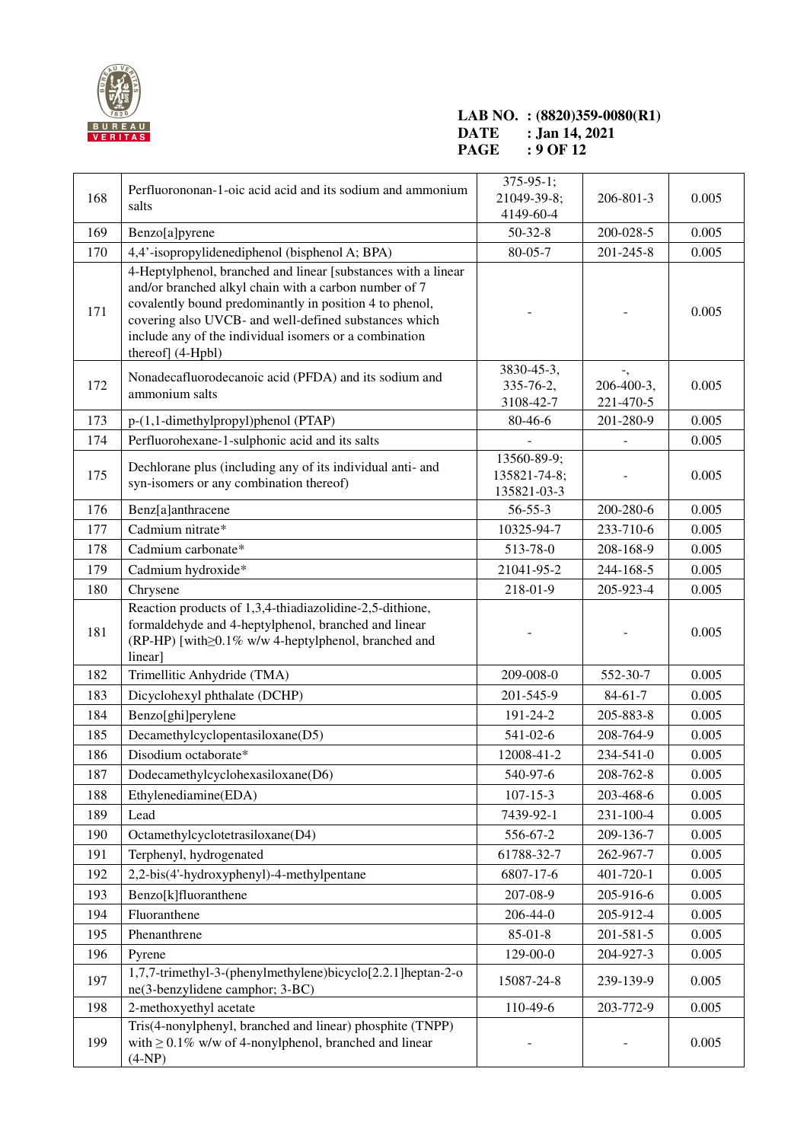

#### **LAB NO. : (8820)359-0080(R1) DATE : Jan 14, 2021 PAGE : 9 OF 12**

| 168 | Perfluorononan-1-oic acid acid and its sodium and ammonium<br>salts                                                                                                                                                                                                                                                       | $375 - 95 - 1;$<br>21049-39-8;<br>4149-60-4 | 206-801-3                     | 0.005 |
|-----|---------------------------------------------------------------------------------------------------------------------------------------------------------------------------------------------------------------------------------------------------------------------------------------------------------------------------|---------------------------------------------|-------------------------------|-------|
| 169 | Benzo[a]pyrene                                                                                                                                                                                                                                                                                                            | $50 - 32 - 8$                               | 200-028-5                     | 0.005 |
| 170 | 4,4'-isopropylidenediphenol (bisphenol A; BPA)                                                                                                                                                                                                                                                                            | 80-05-7                                     | 201-245-8                     | 0.005 |
| 171 | 4-Heptylphenol, branched and linear [substances with a linear<br>and/or branched alkyl chain with a carbon number of 7<br>covalently bound predominantly in position 4 to phenol,<br>covering also UVCB- and well-defined substances which<br>include any of the individual isomers or a combination<br>thereof] (4-Hpbl) |                                             |                               | 0.005 |
| 172 | Nonadecafluorodecanoic acid (PFDA) and its sodium and<br>ammonium salts                                                                                                                                                                                                                                                   | 3830-45-3,<br>335-76-2,<br>3108-42-7        | -,<br>206-400-3,<br>221-470-5 | 0.005 |
| 173 | p-(1,1-dimethylpropyl)phenol (PTAP)                                                                                                                                                                                                                                                                                       | 80-46-6                                     | 201-280-9                     | 0.005 |
| 174 | Perfluorohexane-1-sulphonic acid and its salts                                                                                                                                                                                                                                                                            |                                             |                               | 0.005 |
| 175 | Dechlorane plus (including any of its individual anti- and<br>syn-isomers or any combination thereof)                                                                                                                                                                                                                     | 13560-89-9;<br>135821-74-8;<br>135821-03-3  |                               | 0.005 |
| 176 | Benz[a]anthracene                                                                                                                                                                                                                                                                                                         | $56 - 55 - 3$                               | 200-280-6                     | 0.005 |
| 177 | Cadmium nitrate*                                                                                                                                                                                                                                                                                                          | 10325-94-7                                  | 233-710-6                     | 0.005 |
| 178 | Cadmium carbonate*                                                                                                                                                                                                                                                                                                        | 513-78-0                                    | 208-168-9                     | 0.005 |
| 179 | Cadmium hydroxide*                                                                                                                                                                                                                                                                                                        | 21041-95-2                                  | 244-168-5                     | 0.005 |
| 180 | Chrysene                                                                                                                                                                                                                                                                                                                  | 218-01-9                                    | 205-923-4                     | 0.005 |
| 181 | Reaction products of 1,3,4-thiadiazolidine-2,5-dithione,<br>formaldehyde and 4-heptylphenol, branched and linear<br>(RP-HP) [with  No 0.1% w/w 4-heptylphenol, branched and<br>linear]                                                                                                                                    |                                             |                               | 0.005 |
| 182 | Trimellitic Anhydride (TMA)                                                                                                                                                                                                                                                                                               | 209-008-0                                   | 552-30-7                      | 0.005 |
| 183 | Dicyclohexyl phthalate (DCHP)                                                                                                                                                                                                                                                                                             | 201-545-9                                   | $84-61-7$                     | 0.005 |
| 184 | Benzo[ghi]perylene                                                                                                                                                                                                                                                                                                        | 191-24-2                                    | 205-883-8                     | 0.005 |
| 185 | Decamethylcyclopentasiloxane(D5)                                                                                                                                                                                                                                                                                          | 541-02-6                                    | 208-764-9                     | 0.005 |
| 186 | Disodium octaborate*                                                                                                                                                                                                                                                                                                      | 12008-41-2                                  | 234-541-0                     | 0.005 |
| 187 | Dodecamethylcyclohexasiloxane(D6)                                                                                                                                                                                                                                                                                         | 540-97-6                                    | 208-762-8                     | 0.005 |
| 188 | Ethylenediamine(EDA)                                                                                                                                                                                                                                                                                                      | $107 - 15 - 3$                              | 203-468-6                     | 0.005 |
| 189 | Lead                                                                                                                                                                                                                                                                                                                      | 7439-92-1                                   | 231-100-4                     | 0.005 |
| 190 | Octamethylcyclotetrasiloxane(D4)                                                                                                                                                                                                                                                                                          | 556-67-2                                    | 209-136-7                     | 0.005 |
| 191 | Terphenyl, hydrogenated                                                                                                                                                                                                                                                                                                   | 61788-32-7                                  | 262-967-7                     | 0.005 |
| 192 | 2,2-bis(4'-hydroxyphenyl)-4-methylpentane                                                                                                                                                                                                                                                                                 | 6807-17-6                                   | 401-720-1                     | 0.005 |
| 193 | Benzo[k]fluoranthene                                                                                                                                                                                                                                                                                                      | 207-08-9                                    | 205-916-6                     | 0.005 |
| 194 | Fluoranthene                                                                                                                                                                                                                                                                                                              | $206 - 44 - 0$                              | 205-912-4                     | 0.005 |
| 195 | Phenanthrene                                                                                                                                                                                                                                                                                                              | $85 - 01 - 8$                               | 201-581-5                     | 0.005 |
| 196 | Pyrene                                                                                                                                                                                                                                                                                                                    | 129-00-0                                    | 204-927-3                     | 0.005 |
| 197 | 1,7,7-trimethyl-3-(phenylmethylene)bicyclo[2.2.1] heptan-2-o<br>ne(3-benzylidene camphor; 3-BC)                                                                                                                                                                                                                           | 15087-24-8                                  | 239-139-9                     | 0.005 |
| 198 | 2-methoxyethyl acetate                                                                                                                                                                                                                                                                                                    | 110-49-6                                    | 203-772-9                     | 0.005 |
| 199 | Tris(4-nonylphenyl, branched and linear) phosphite (TNPP)<br>with $\geq 0.1\%$ w/w of 4-nonylphenol, branched and linear<br>$(4-NP)$                                                                                                                                                                                      |                                             |                               | 0.005 |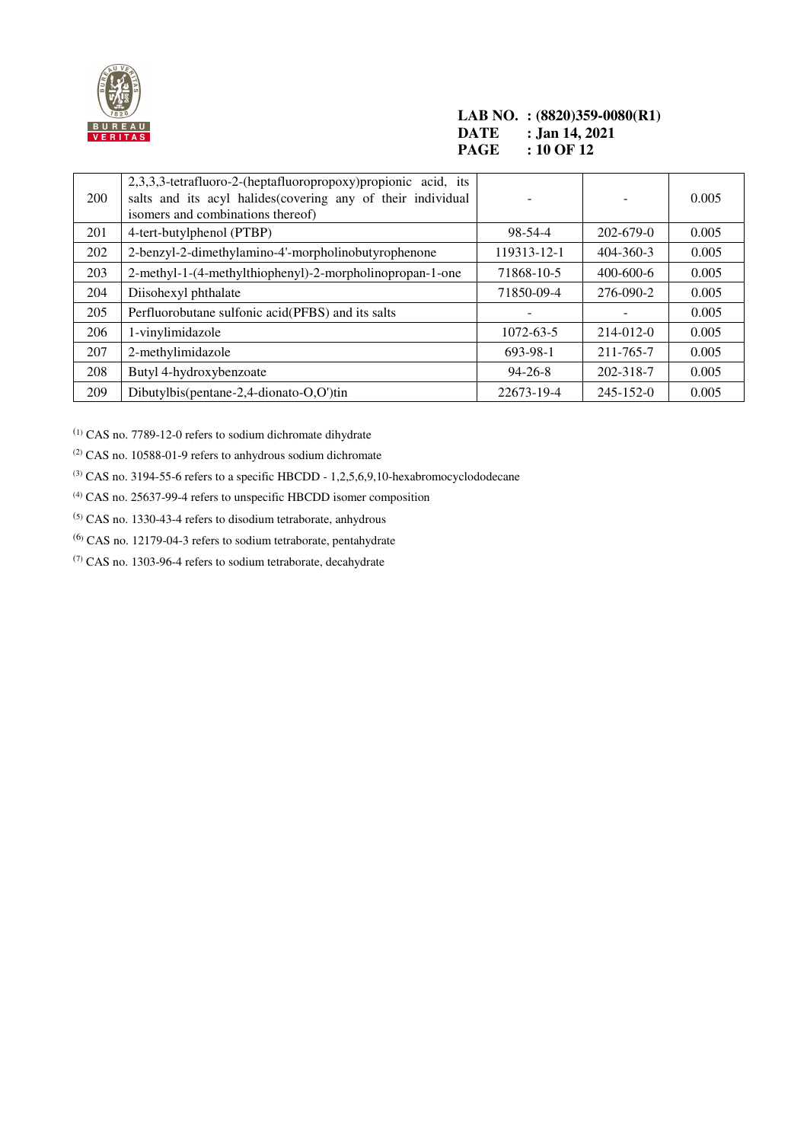

#### **LAB NO. : (8820)359-0080(R1) DATE** : Jan 14, 2021<br>**PAGE** : 10 OF 12 **: 10 OF 12**

| 200 | 2,3,3,3-tetrafluoro-2-(heptafluoropropoxy) propionic acid, its<br>salts and its acyl halides(covering any of their individual<br>isomers and combinations thereof) |                          |                 | 0.005 |
|-----|--------------------------------------------------------------------------------------------------------------------------------------------------------------------|--------------------------|-----------------|-------|
| 201 | 4-tert-butylphenol (PTBP)                                                                                                                                          | $98 - 54 - 4$            | $202 - 679 - 0$ | 0.005 |
| 202 | 2-benzyl-2-dimethylamino-4'-morpholinobutyrophenone                                                                                                                | 119313-12-1              | $404 - 360 - 3$ | 0.005 |
| 203 | 2-methyl-1-(4-methylthiophenyl)-2-morpholinopropan-1-one                                                                                                           | 71868-10-5               | $400 - 600 - 6$ | 0.005 |
| 204 | Diisohexyl phthalate                                                                                                                                               | 71850-09-4               | 276-090-2       | 0.005 |
| 205 | Perfluorobutane sulfonic acid(PFBS) and its salts                                                                                                                  | $\overline{\phantom{0}}$ |                 | 0.005 |
| 206 | 1-vinylimidazole                                                                                                                                                   | 1072-63-5                | $214 - 012 - 0$ | 0.005 |
| 207 | 2-methylimidazole                                                                                                                                                  | 693-98-1                 | 211-765-7       | 0.005 |
| 208 | Butyl 4-hydroxybenzoate                                                                                                                                            | $94 - 26 - 8$            | 202-318-7       | 0.005 |
| 209 | Dibutylbis(pentane-2,4-dionato-O,O')tin                                                                                                                            | 22673-19-4               | $245 - 152 - 0$ | 0.005 |

(1) CAS no. 7789-12-0 refers to sodium dichromate dihydrate

(2) CAS no. 10588-01-9 refers to anhydrous sodium dichromate

 $^{(3)}$  CAS no. 3194-55-6 refers to a specific HBCDD - 1,2,5,6,9,10-hexabromocyclododecane

(4) CAS no. 25637-99-4 refers to unspecific HBCDD isomer composition

 $<sup>(5)</sup> CAS$  no. 1330-43-4 refers to disodium tetraborate, anhydrous</sup>

(6) CAS no. 12179-04-3 refers to sodium tetraborate, pentahydrate

(7) CAS no. 1303-96-4 refers to sodium tetraborate, decahydrate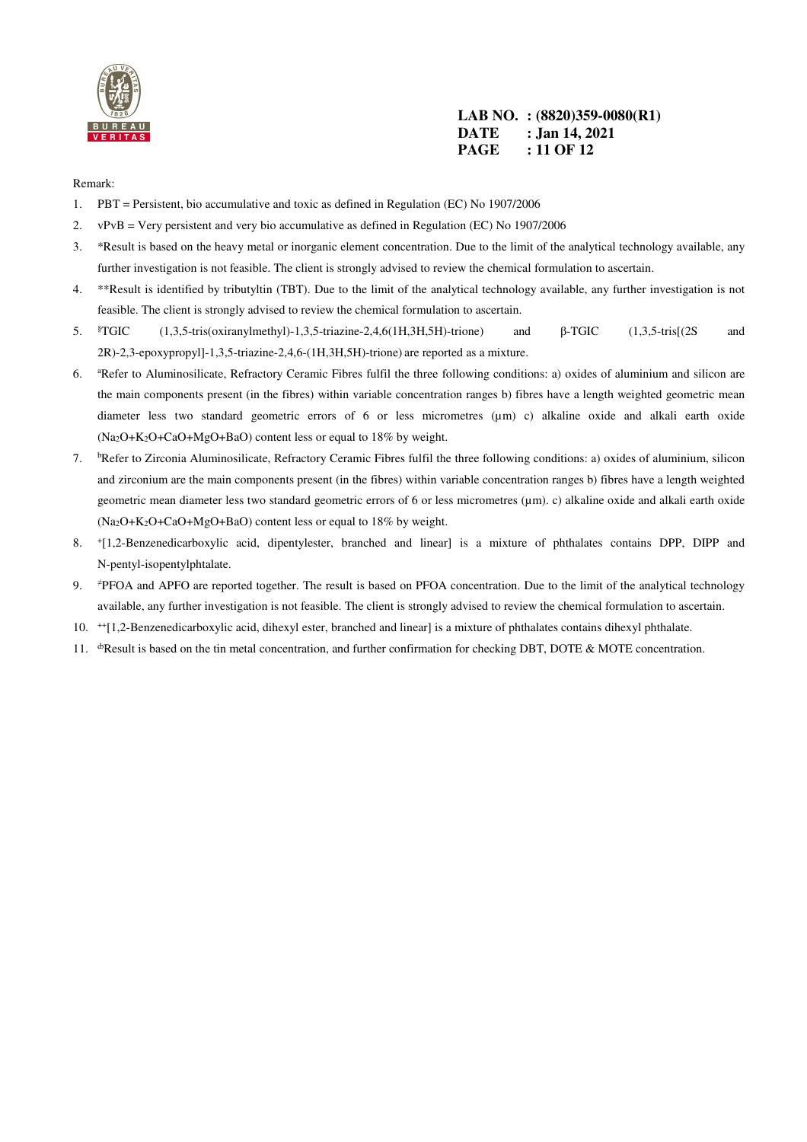

**LAB NO. : (8820)359-0080(R1) DATE : Jan 14, 2021 PAGE : 11 OF 12** 

#### Remark:

- 1. PBT = Persistent, bio accumulative and toxic as defined in Regulation (EC) No 1907/2006
- 2. vPvB = Very persistent and very bio accumulative as defined in Regulation (EC) No 1907/2006
- 3. \*Result is based on the heavy metal or inorganic element concentration. Due to the limit of the analytical technology available, any further investigation is not feasible. The client is strongly advised to review the chemical formulation to ascertain.
- 4. \*\*Result is identified by tributyltin (TBT). Due to the limit of the analytical technology available, any further investigation is not feasible. The client is strongly advised to review the chemical formulation to ascertain.
- 5. §TGIC (1,3,5-tris(oxiranylmethyl)-1,3,5-triazine-2,4,6(1H,3H,5H)-trione) and β-TGIC (1,3,5-tris[(2S and 2R)-2,3-epoxypropyl]-1,3,5-triazine-2,4,6-(1H,3H,5H)-trione) are reported as a mixture.
- 6. <sup>a</sup>Refer to Aluminosilicate, Refractory Ceramic Fibres fulfil the three following conditions: a) oxides of aluminium and silicon are the main components present (in the fibres) within variable concentration ranges b) fibres have a length weighted geometric mean diameter less two standard geometric errors of 6 or less micrometres (um) c) alkaline oxide and alkali earth oxide (Na2O+K2O+CaO+MgO+BaO) content less or equal to 18% by weight.
- 7. bRefer to Zirconia Aluminosilicate, Refractory Ceramic Fibres fulfil the three following conditions: a) oxides of aluminium, silicon and zirconium are the main components present (in the fibres) within variable concentration ranges b) fibres have a length weighted geometric mean diameter less two standard geometric errors of 6 or less micrometres (µm). c) alkaline oxide and alkali earth oxide (Na2O+K2O+CaO+MgO+BaO) content less or equal to 18% by weight.
- 8. <sup>+</sup> [1,2-Benzenedicarboxylic acid, dipentylester, branched and linear] is a mixture of phthalates contains DPP, DIPP and N-pentyl-isopentylphtalate.
- 9. ≠PFOA and APFO are reported together. The result is based on PFOA concentration. Due to the limit of the analytical technology available, any further investigation is not feasible. The client is strongly advised to review the chemical formulation to ascertain.
- 10. ++[1,2-Benzenedicarboxylic acid, dihexyl ester, branched and linear] is a mixture of phthalates contains dihexyl phthalate.
- 11. *bResult is based on the tin metal concentration, and further confirmation for checking DBT, DOTE & MOTE concentration.*